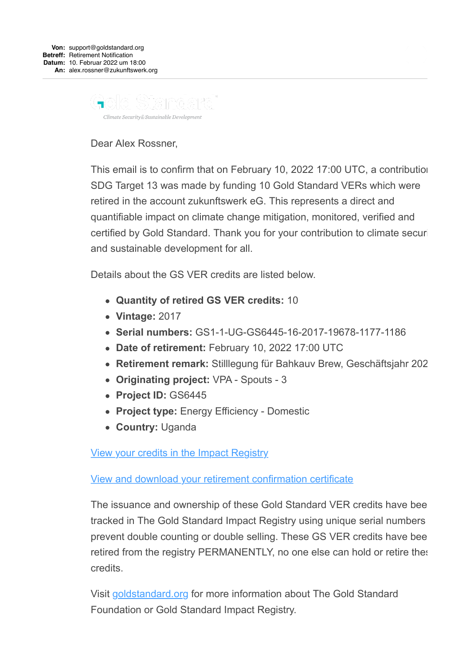

Dear Alex Rossner,

This email is to confirm that on February 10, 2022 17:00 UTC, a contribution SDG Target 13 was made by funding 10 Gold Standard VERs which were retired in the account zukunftswerk eG. This represents a direct and quantifiable impact on climate change mitigation, monitored, verified and certified by Gold Standard. Thank you for your contribution to climate securi and sustainable development for all.

Details about the GS VER credits are listed below.

- **Quantity of retired GS VER credits:** 10
- **Vintage:** 2017
- **Serial numbers:** GS1-1-UG-GS6445-16-2017-19678-1177-1186
- **Date of retirement:** February 10, 2022 17:00 UTC
- **Retirement remark:** Stilllegung für Bahkauv Brew, Geschäftsjahr 2022
- **Originating project:** VPA Spouts 3
- **Project ID:** GS6445
- **Project type:** Energy Efficiency Domestic
- **Country:** Uganda

[View your credits in the Impact Registry](https://u9814250.ct.sendgrid.net/ls/click?upn=d2vUj8-2FOsFsj-2FAJKeoEoySOzk2MQ00CRPJEAkMx874pOyC4TMGefCxcEdccccg9X3jgoIP4vjotnsrxQ5AjrgMscZVoff5a1KO8cJFDqYog-3DBi5q_iwsYzq2moO6tP9KhyRYRQtB7wkF-2FsGwEwldEVTamwa8Dqv49ZV-2Fz371v2lNROUh-2FuKf3-2FY229NhLbz81Xm53FqGR1JMJZs8rlD-2FFCbBM0-2B9mWpyKqSSfXoFd1f1fXMlffhENEMHKlsuUFK7PHbogA4MSjwnU92Ec6D3Z9UKXmJQ-2BhSvSbvKwBVjtMoDEn-2BmUpjYqL3yAhtPM5nRJut8BZNY2vaMZmZRc6qK59mVtsES82QCIzjmEkMzZtsAU-2BFwHmVyMyQ64xfq2hKx-2FB3rHR-2FLW7bPpVcvQmaNWawoNnzeiQ5aERmy-2BRIek8RtO5Qt5GLyjeZWpggSx6fjkD62zBE7nHVh2vsWj-2Bjjk-2BW4qwZI-3D)

[View and download your retirement confirmation certificate](https://u9814250.ct.sendgrid.net/ls/click?upn=d2vUj8-2FOsFsj-2FAJKeoEoyUZZQKQePPovnV7awRoWmy-2BgFKcDVc-2F0vZGw15RrTMdVcVG9tQ-2FeoeqF3KKaKzgQYwK6EHBtCsTBiojmqf-2FpKT-2F8B-2B1BkvQHRYiy2taAhAbVDnEGkflDRVz7DOEPpNXDiEZHz9BdQHZuT4TLSVBgb9o-3Df6Zk_iwsYzq2moO6tP9KhyRYRQtB7wkF-2FsGwEwldEVTamwa8Dqv49ZV-2Fz371v2lNROUh-2FuKf3-2FY229NhLbz81Xm53FqGR1JMJZs8rlD-2FFCbBM0-2B9mWpyKqSSfXoFd1f1fXMlffhENEMHKlsuUFK7PHbogA4MSjwnU92Ec6D3Z9UKXmJQ-2BhSvSbvKwBVjtMoDEn-2BmUpjYqL3yAhtPM5nRJut8BZNst3zQ7u5xczKmbS4AtakhBe67BtJO8F68f3N4p7eM5F7rxTg0SMaaCd-2BfomJcOX2LJ9cY0ggWBt7ywVcBDYQDQkBfKaa5-2FQ-2BgtkZ1N0cWMCmvYjAeePc-2B84qW5IFlAs05IxM35A-2BrUEDZtR3iwDfw-3D)

The issuance and ownership of these Gold Standard VER credits have been tracked in The Gold Standard Impact Registry using unique serial numbers prevent double counting or double selling. These GS VER credits have been retired from the registry PERMANENTLY, no one else can hold or retire these credits.

Visit [goldstandard.org](https://u9814250.ct.sendgrid.net/ls/click?upn=d2vUj8-2FOsFsj-2FAJKeoEoyeyP1q3RFAUalYSw2yKDAQ9XxOkta2xhl4-2BmkDbxBsxfAeBH_iwsYzq2moO6tP9KhyRYRQtB7wkF-2FsGwEwldEVTamwa8Dqv49ZV-2Fz371v2lNROUh-2FuKf3-2FY229NhLbz81Xm53FqGR1JMJZs8rlD-2FFCbBM0-2B9mWpyKqSSfXoFd1f1fXMlffhENEMHKlsuUFK7PHbogA4MSjwnU92Ec6D3Z9UKXmJQ-2BhSvSbvKwBVjtMoDEn-2BmUpjYqL3yAhtPM5nRJut8BZM5ckYi-2B8bqKJWuBrH9GO32dpzk5EWroaKknErt4tMwejMPm3-2F6I-2FoNyApAmV2EyTkjuTTKjD1PPNbxG7ZRo86-2FkR3oNfsOxfuJ37HCiGauuqIuum5pL7X-2Fv4W-2FG9f4lP1RGcZj6TDppcov433rvH6k-3D) for more information about The Gold Standard Foundation or Gold Standard Impact Registry.